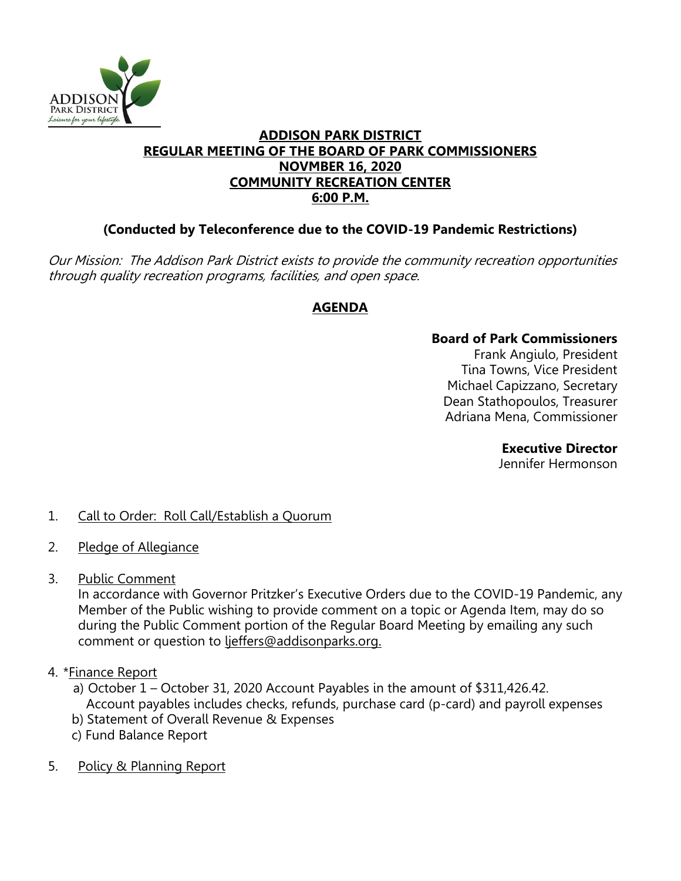

#### **ADDISON PARK DISTRICT REGULAR MEETING OF THE BOARD OF PARK COMMISSIONERS NOVMBER 16, 2020 COMMUNITY RECREATION CENTER 6:00 P.M.**

# **(Conducted by Teleconference due to the COVID-19 Pandemic Restrictions)**

Our Mission: The Addison Park District exists to provide the community recreation opportunities through quality recreation programs, facilities, and open space.

# **AGENDA**

# **Board of Park Commissioners**

Frank Angiulo, President Tina Towns, Vice President Michael Capizzano, Secretary Dean Stathopoulos, Treasurer Adriana Mena, Commissioner

#### **Executive Director**

Jennifer Hermonson

# 1. Call to Order: Roll Call/Establish a Quorum

- 2. Pledge of Allegiance
- 3. Public Comment

In accordance with Governor Pritzker's Executive Orders due to the COVID-19 Pandemic, any Member of the Public wishing to provide comment on a topic or Agenda Item, may do so during the Public Comment portion of the Regular Board Meeting by emailing any such comment or question to lieffers@addisonparks.org.

# 4. \* Finance Report

- a) October 1 October 31, 2020 Account Payables in the amount of \$311,426.42. Account payables includes checks, refunds, purchase card (p-card) and payroll expenses
- b) Statement of Overall Revenue & Expenses
- c) Fund Balance Report
- 5. Policy & Planning Report